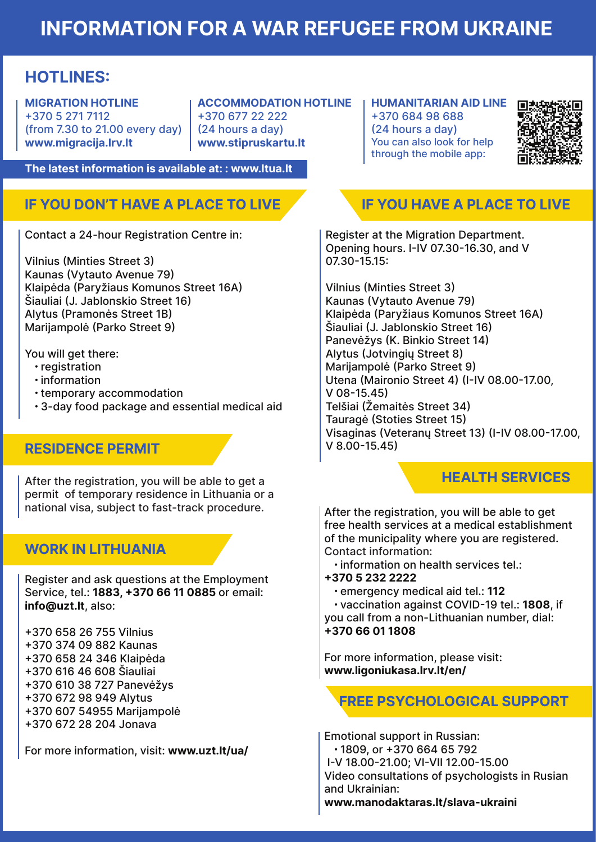# INFORMATION FOR A WAR REFUGEE FROM UKRAINE

## HOTLINES:

MIGRATION HOTLINE +370 5 271 7112 (from 7.30 to 21.00 every day) www.migracija.lrv.lt

ACCOMMODATION HOTLINE +370 677 22 222 (24 hours a day) www.stipruskartu.lt

The latest information is available at: : www.ltua.lt

## IF YOU DON'T HAVE A PLACE TO LIVE

Contact a 24-hour Registration Centre in:

Vilnius (Minties Street 3) Kaunas (Vytauto Avenue 79) Klaipėda (Paryžiaus Komunos Street 16A) Šiauliai (J. Jablonskio Street 16) Alytus (Pramonės Street 1B) Marijampolė (Parko Street 9)

You will get there:

- registration
- information
- temporary accommodation
- 3-day food package and essential medical aid

### RESIDENCE PERMIT

After the registration, you will be able to get a permit of temporary residence in Lithuania or a national visa, subject to fast-track procedure.

### WORK IN LITHUANIA

Register and ask questions at the Employment Service, tel.: 1883, +370 66 11 0885 or email: info@uzt.lt, also:

- +370 658 26 755 Vilnius
- +370 374 09 882 Kaunas
- +370 658 24 346 Klaipėda
- +370 616 46 608 Šiauliai
- +370 610 38 727 Panevėžys
- +370 672 98 949 Alytus
- +370 607 54955 Marijampolė
- +370 672 28 204 Jonava

For more information, visit: www.uzt.lt/ua/

HUMANITARIAN AID LINE +370 684 98 688 (24 hours a day) You can also look for help through the mobile app:



## IF YOU HAVE A PLACE TO LIVE

Register at the Migration Department. Opening hours. I-IV 07.30-16.30, and V 07.30-15.15:

Vilnius (Minties Street 3) Kaunas (Vytauto Avenue 79) Klaipėda (Paryžiaus Komunos Street 16A) Šiauliai (J. Jablonskio Street 16) Panevėžys (K. Binkio Street 14) Alytus (Jotvingių Street 8) Marijampolė (Parko Street 9) Utena (Maironio Street 4) (I-IV 08.00-17.00, V 08-15.45) Telšiai (Žemaitės Street 34) Tauragė (Stoties Street 15) Visaginas (Veteranų Street 13) (I-IV 08.00-17.00, V 8.00-15.45)

### HEALTH SERVICES

After the registration, you will be able to get free health services at a medical establishment of the municipality where you are registered. Contact information:

- information on health services tel.:
- +370 5 232 2222
	- emergency medical aid tel.: 112

 • vaccination against COVID-19 tel.: 1808, if you call from a non-Lithuanian number, dial: +370 66 01 1808

For more information, please visit: www.ligoniukasa.lrv.lt/en/

## FREE PSYCHOLOGICAL SUPPORT

Emotional support in Russian: • 1809, or +370 664 65 792 I-V 18.00-21.00; VI-VII 12.00-15.00 Video consultations of psychologists in Rusian and Ukrainian: www.manodaktaras.lt/slava-ukraini